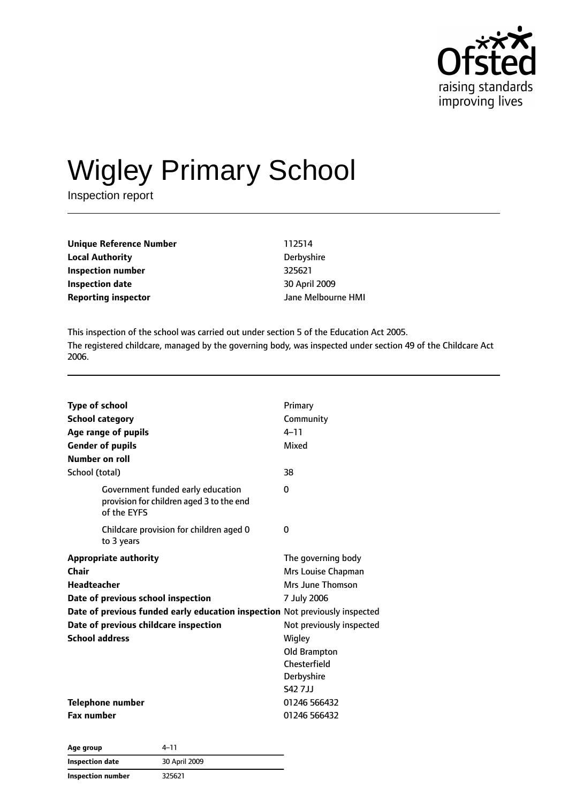

# Wigley Primary School

Inspection report

| Unique Reference Number    | 112514             |
|----------------------------|--------------------|
| <b>Local Authority</b>     | Derbyshire         |
| Inspection number          | 325621             |
| Inspection date            | 30 April 2009      |
| <b>Reporting inspector</b> | Jane Melbourne HMI |

This inspection of the school was carried out under section 5 of the Education Act 2005. The registered childcare, managed by the governing body, was inspected under section 49 of the Childcare Act 2006.

| <b>Type of school</b>                                                                        | Primary                  |
|----------------------------------------------------------------------------------------------|--------------------------|
| <b>School category</b>                                                                       | Community                |
| Age range of pupils                                                                          | $4 - 11$                 |
| <b>Gender of pupils</b>                                                                      | Mixed                    |
| Number on roll                                                                               |                          |
| School (total)                                                                               | 38                       |
| Government funded early education<br>provision for children aged 3 to the end<br>of the EYFS | 0                        |
| Childcare provision for children aged 0<br>to 3 years                                        | 0                        |
| <b>Appropriate authority</b>                                                                 | The governing body       |
| Chair                                                                                        | Mrs Louise Chapman       |
| <b>Headteacher</b>                                                                           | Mrs June Thomson         |
| Date of previous school inspection                                                           | 7 July 2006              |
| Date of previous funded early education inspection Not previously inspected                  |                          |
| Date of previous childcare inspection                                                        | Not previously inspected |
| <b>School address</b>                                                                        | Wigley                   |
|                                                                                              | Old Brampton             |
|                                                                                              | Chesterfield             |
|                                                                                              | Derbyshire               |
|                                                                                              | S42 7 J J                |
| Telephone number                                                                             | 01246 566432             |
| <b>Fax number</b>                                                                            | 01246 566432             |

| Age group         | $4 - 11$      |  |
|-------------------|---------------|--|
| Inspection date   | 30 April 2009 |  |
| Inspection number | 325621        |  |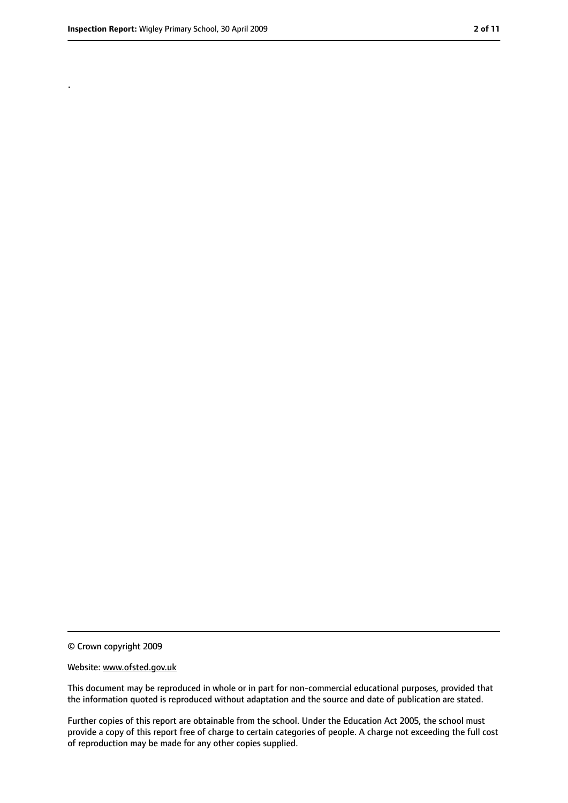.

<sup>©</sup> Crown copyright 2009

Website: www.ofsted.gov.uk

This document may be reproduced in whole or in part for non-commercial educational purposes, provided that the information quoted is reproduced without adaptation and the source and date of publication are stated.

Further copies of this report are obtainable from the school. Under the Education Act 2005, the school must provide a copy of this report free of charge to certain categories of people. A charge not exceeding the full cost of reproduction may be made for any other copies supplied.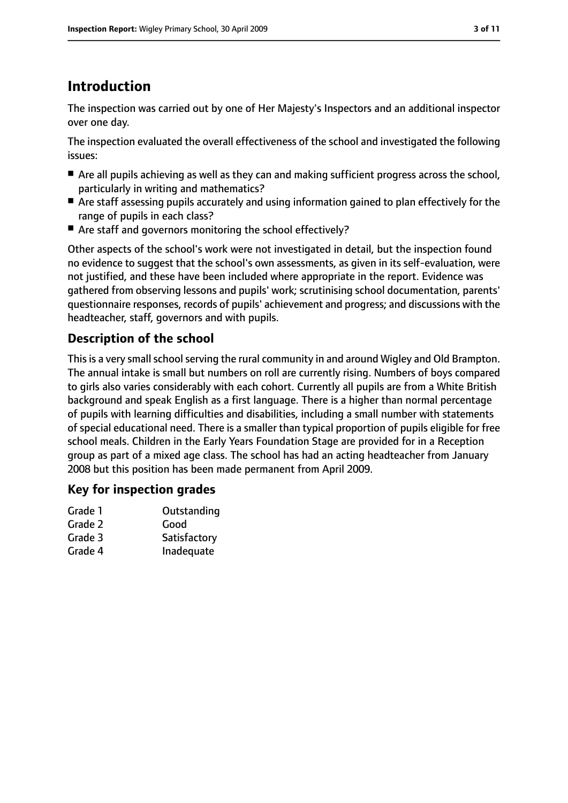# **Introduction**

The inspection was carried out by one of Her Majesty's Inspectors and an additional inspector over one day.

The inspection evaluated the overall effectiveness of the school and investigated the following issues:

- Are all pupils achieving as well as they can and making sufficient progress across the school, particularly in writing and mathematics?
- Are staff assessing pupils accurately and using information gained to plan effectively for the range of pupils in each class?
- Are staff and governors monitoring the school effectively?

Other aspects of the school's work were not investigated in detail, but the inspection found no evidence to suggest that the school's own assessments, as given in its self-evaluation, were not justified, and these have been included where appropriate in the report. Evidence was gathered from observing lessons and pupils' work; scrutinising school documentation, parents' questionnaire responses, records of pupils' achievement and progress; and discussions with the headteacher, staff, governors and with pupils.

### **Description of the school**

This is a very small school serving the rural community in and around Wigley and Old Brampton. The annual intake is small but numbers on roll are currently rising. Numbers of boys compared to girls also varies considerably with each cohort. Currently all pupils are from a White British background and speak English as a first language. There is a higher than normal percentage of pupils with learning difficulties and disabilities, including a small number with statements of special educational need. There is a smaller than typical proportion of pupils eligible for free school meals. Children in the Early Years Foundation Stage are provided for in a Reception group as part of a mixed age class. The school has had an acting headteacher from January 2008 but this position has been made permanent from April 2009.

### **Key for inspection grades**

| Grade 1 | Outstanding  |
|---------|--------------|
| Grade 2 | Good         |
| Grade 3 | Satisfactory |
| Grade 4 | Inadequate   |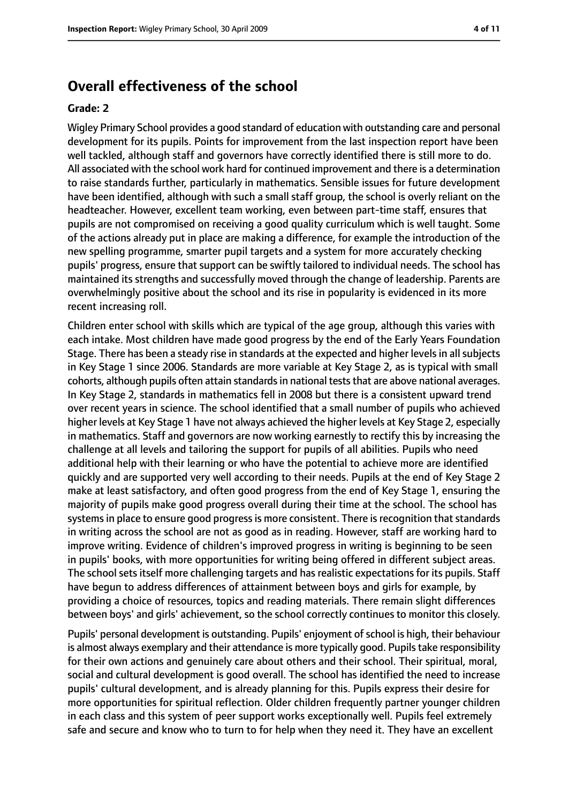### **Overall effectiveness of the school**

#### **Grade: 2**

Wigley Primary School provides a good standard of education with outstanding care and personal development for its pupils. Points for improvement from the last inspection report have been well tackled, although staff and governors have correctly identified there is still more to do. All associated with the school work hard for continued improvement and there is a determination to raise standards further, particularly in mathematics. Sensible issues for future development have been identified, although with such a small staff group, the school is overly reliant on the headteacher. However, excellent team working, even between part-time staff, ensures that pupils are not compromised on receiving a good quality curriculum which is well taught. Some of the actions already put in place are making a difference, for example the introduction of the new spelling programme, smarter pupil targets and a system for more accurately checking pupils' progress, ensure that support can be swiftly tailored to individual needs. The school has maintained its strengths and successfully moved through the change of leadership. Parents are overwhelmingly positive about the school and its rise in popularity is evidenced in its more recent increasing roll.

Children enter school with skills which are typical of the age group, although this varies with each intake. Most children have made good progress by the end of the Early Years Foundation Stage. There has been a steady rise in standards at the expected and higher levels in all subjects in Key Stage 1 since 2006. Standards are more variable at Key Stage 2, as is typical with small cohorts, although pupils often attain standardsin national teststhat are above national averages. In Key Stage 2, standards in mathematics fell in 2008 but there is a consistent upward trend over recent years in science. The school identified that a small number of pupils who achieved higher levels at Key Stage 1 have not always achieved the higher levels at Key Stage 2, especially in mathematics. Staff and governors are now working earnestly to rectify this by increasing the challenge at all levels and tailoring the support for pupils of all abilities. Pupils who need additional help with their learning or who have the potential to achieve more are identified quickly and are supported very well according to their needs. Pupils at the end of Key Stage 2 make at least satisfactory, and often good progress from the end of Key Stage 1, ensuring the majority of pupils make good progress overall during their time at the school. The school has systems in place to ensure good progress is more consistent. There is recognition that standards in writing across the school are not as good as in reading. However, staff are working hard to improve writing. Evidence of children's improved progress in writing is beginning to be seen in pupils' books, with more opportunities for writing being offered in different subject areas. The school sets itself more challenging targets and has realistic expectations for its pupils. Staff have begun to address differences of attainment between boys and girls for example, by providing a choice of resources, topics and reading materials. There remain slight differences between boys' and girls' achievement, so the school correctly continues to monitor this closely.

Pupils' personal development is outstanding. Pupils' enjoyment of school is high, their behaviour is almost always exemplary and their attendance is more typically good. Pupils take responsibility for their own actions and genuinely care about others and their school. Their spiritual, moral, social and cultural development is good overall. The school has identified the need to increase pupils' cultural development, and is already planning for this. Pupils express their desire for more opportunities for spiritual reflection. Older children frequently partner younger children in each class and this system of peer support works exceptionally well. Pupils feel extremely safe and secure and know who to turn to for help when they need it. They have an excellent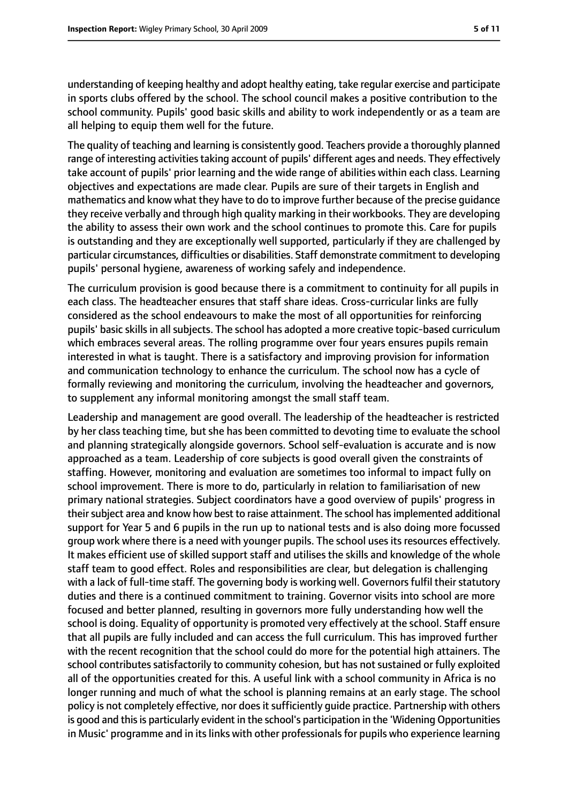understanding of keeping healthy and adopt healthy eating, take regular exercise and participate in sports clubs offered by the school. The school council makes a positive contribution to the school community. Pupils' good basic skills and ability to work independently or as a team are all helping to equip them well for the future.

The quality of teaching and learning is consistently good. Teachers provide a thoroughly planned range of interesting activities taking account of pupils' different ages and needs. They effectively take account of pupils' prior learning and the wide range of abilities within each class. Learning objectives and expectations are made clear. Pupils are sure of their targets in English and mathematics and know what they have to do to improve further because of the precise guidance they receive verbally and through high quality marking in their workbooks. They are developing the ability to assess their own work and the school continues to promote this. Care for pupils is outstanding and they are exceptionally well supported, particularly if they are challenged by particular circumstances, difficulties or disabilities. Staff demonstrate commitment to developing pupils' personal hygiene, awareness of working safely and independence.

The curriculum provision is good because there is a commitment to continuity for all pupils in each class. The headteacher ensures that staff share ideas. Cross-curricular links are fully considered as the school endeavours to make the most of all opportunities for reinforcing pupils' basic skills in all subjects. The school has adopted a more creative topic-based curriculum which embraces several areas. The rolling programme over four years ensures pupils remain interested in what is taught. There is a satisfactory and improving provision for information and communication technology to enhance the curriculum. The school now has a cycle of formally reviewing and monitoring the curriculum, involving the headteacher and governors, to supplement any informal monitoring amongst the small staff team.

Leadership and management are good overall. The leadership of the headteacher is restricted by her class teaching time, but she has been committed to devoting time to evaluate the school and planning strategically alongside governors. School self-evaluation is accurate and is now approached as a team. Leadership of core subjects is good overall given the constraints of staffing. However, monitoring and evaluation are sometimes too informal to impact fully on school improvement. There is more to do, particularly in relation to familiarisation of new primary national strategies. Subject coordinators have a good overview of pupils' progress in their subject area and know how best to raise attainment. The school has implemented additional support for Year 5 and 6 pupils in the run up to national tests and is also doing more focussed group work where there is a need with younger pupils. The school uses its resources effectively. It makes efficient use of skilled support staff and utilises the skills and knowledge of the whole staff team to good effect. Roles and responsibilities are clear, but delegation is challenging with a lack of full-time staff. The governing body is working well. Governors fulfil their statutory duties and there is a continued commitment to training. Governor visits into school are more focused and better planned, resulting in governors more fully understanding how well the school is doing. Equality of opportunity is promoted very effectively at the school. Staff ensure that all pupils are fully included and can access the full curriculum. This has improved further with the recent recognition that the school could do more for the potential high attainers. The school contributes satisfactorily to community cohesion, but has not sustained or fully exploited all of the opportunities created for this. A useful link with a school community in Africa is no longer running and much of what the school is planning remains at an early stage. The school policy is not completely effective, nor does it sufficiently quide practice. Partnership with others is good and this is particularly evident in the school's participation in the 'Widening Opportunities in Music' programme and in its links with other professionals for pupils who experience learning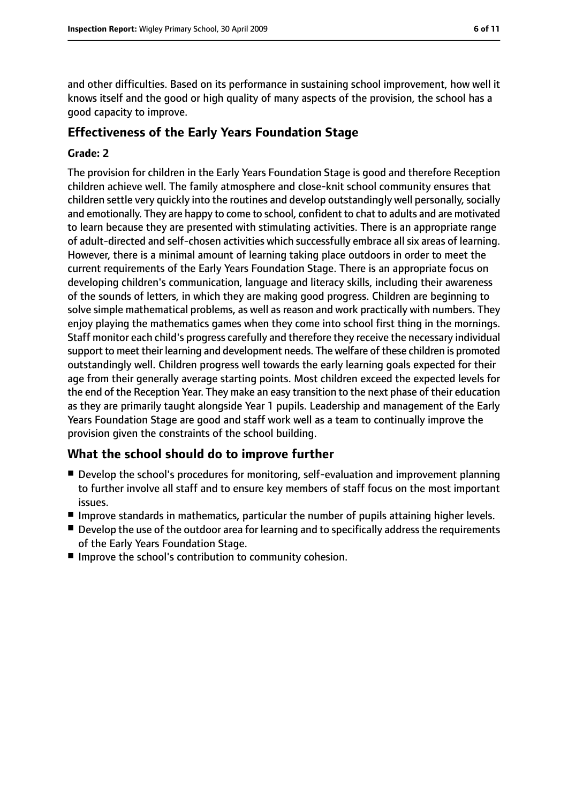and other difficulties. Based on its performance in sustaining school improvement, how well it knows itself and the good or high quality of many aspects of the provision, the school has a good capacity to improve.

### **Effectiveness of the Early Years Foundation Stage**

#### **Grade: 2**

The provision for children in the Early Years Foundation Stage is good and therefore Reception children achieve well. The family atmosphere and close-knit school community ensures that children settle very quickly into the routines and develop outstandingly well personally, socially and emotionally. They are happy to come to school, confident to chat to adults and are motivated to learn because they are presented with stimulating activities. There is an appropriate range of adult-directed and self-chosen activities which successfully embrace all six areas of learning. However, there is a minimal amount of learning taking place outdoors in order to meet the current requirements of the Early Years Foundation Stage. There is an appropriate focus on developing children's communication, language and literacy skills, including their awareness of the sounds of letters, in which they are making good progress. Children are beginning to solve simple mathematical problems, as well as reason and work practically with numbers. They enjoy playing the mathematics games when they come into school first thing in the mornings. Staff monitor each child's progress carefully and therefore they receive the necessary individual support to meet their learning and development needs. The welfare of these children is promoted outstandingly well. Children progress well towards the early learning goals expected for their age from their generally average starting points. Most children exceed the expected levels for the end of the Reception Year. They make an easy transition to the next phase of their education as they are primarily taught alongside Year 1 pupils. Leadership and management of the Early Years Foundation Stage are good and staff work well as a team to continually improve the provision given the constraints of the school building.

### **What the school should do to improve further**

- Develop the school's procedures for monitoring, self-evaluation and improvement planning to further involve all staff and to ensure key members of staff focus on the most important issues.
- Improve standards in mathematics, particular the number of pupils attaining higher levels.
- Develop the use of the outdoor area for learning and to specifically address the requirements of the Early Years Foundation Stage.
- Improve the school's contribution to community cohesion.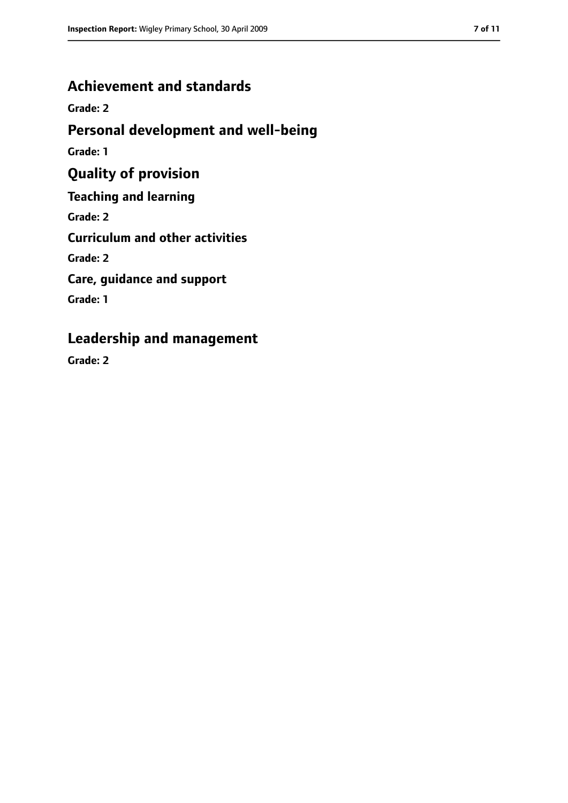### **Achievement and standards**

**Grade: 2**

### **Personal development and well-being**

**Grade: 1**

## **Quality of provision**

**Teaching and learning**

**Grade: 2**

**Curriculum and other activities**

**Grade: 2**

**Care, guidance and support**

**Grade: 1**

### **Leadership and management**

**Grade: 2**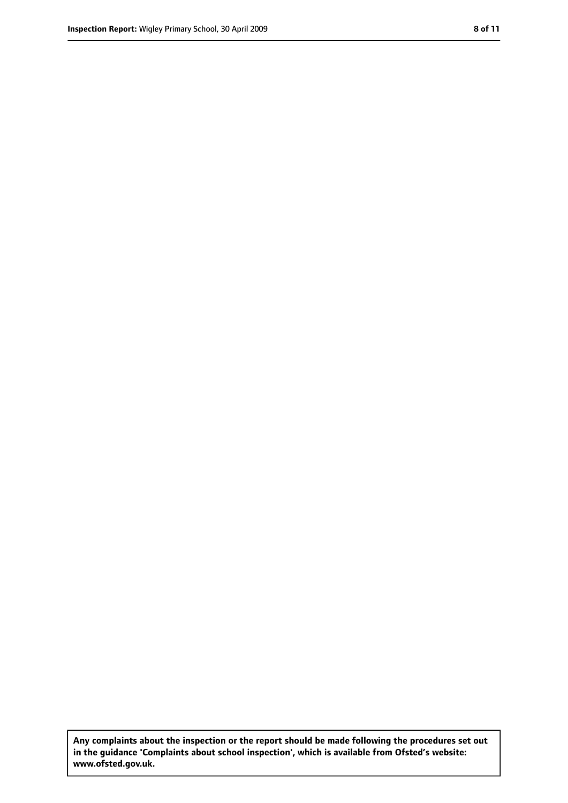**Any complaints about the inspection or the report should be made following the procedures set out in the guidance 'Complaints about school inspection', which is available from Ofsted's website: www.ofsted.gov.uk.**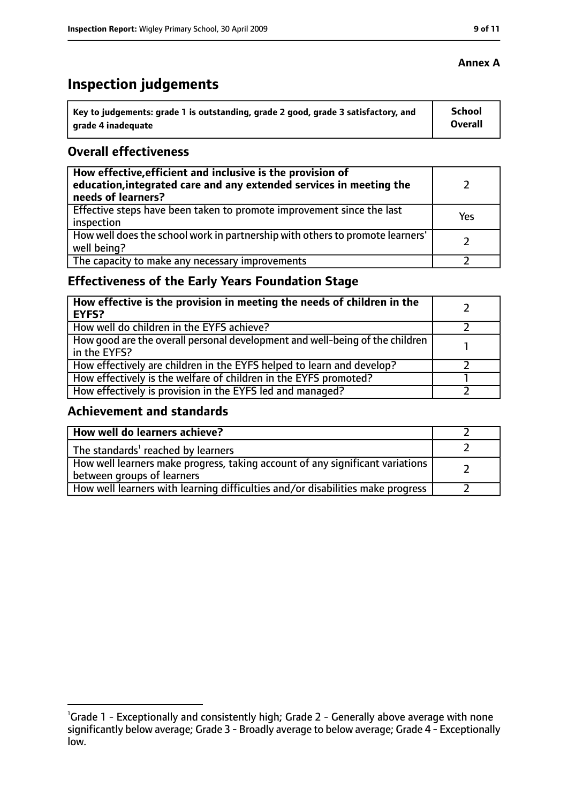# **Inspection judgements**

| $\lq$ Key to judgements: grade 1 is outstanding, grade 2 good, grade 3 satisfactory, and | <b>School</b> |
|------------------------------------------------------------------------------------------|---------------|
| arade 4 inadequate                                                                       | Overall       |

#### **Overall effectiveness**

| How effective, efficient and inclusive is the provision of<br>education, integrated care and any extended services in meeting the<br>needs of learners? |     |
|---------------------------------------------------------------------------------------------------------------------------------------------------------|-----|
| Effective steps have been taken to promote improvement since the last<br>inspection                                                                     | Yes |
| How well does the school work in partnership with others to promote learners'<br>well being?                                                            |     |
| The capacity to make any necessary improvements                                                                                                         |     |

### **Effectiveness of the Early Years Foundation Stage**

| How effective is the provision in meeting the needs of children in the<br>l EYFS?              |  |
|------------------------------------------------------------------------------------------------|--|
| How well do children in the EYFS achieve?                                                      |  |
| How good are the overall personal development and well-being of the children<br>I in the EYFS? |  |
| How effectively are children in the EYFS helped to learn and develop?                          |  |
| How effectively is the welfare of children in the EYFS promoted?                               |  |
| How effectively is provision in the EYFS led and managed?                                      |  |

#### **Achievement and standards**

| How well do learners achieve?                                                                               |  |
|-------------------------------------------------------------------------------------------------------------|--|
| The standards <sup>1</sup> reached by learners                                                              |  |
| How well learners make progress, taking account of any significant variations<br>between groups of learners |  |
| How well learners with learning difficulties and/or disabilities make progress                              |  |

### **Annex A**

<sup>&</sup>lt;sup>1</sup>Grade 1 - Exceptionally and consistently high; Grade 2 - Generally above average with none significantly below average; Grade 3 - Broadly average to below average; Grade 4 - Exceptionally low.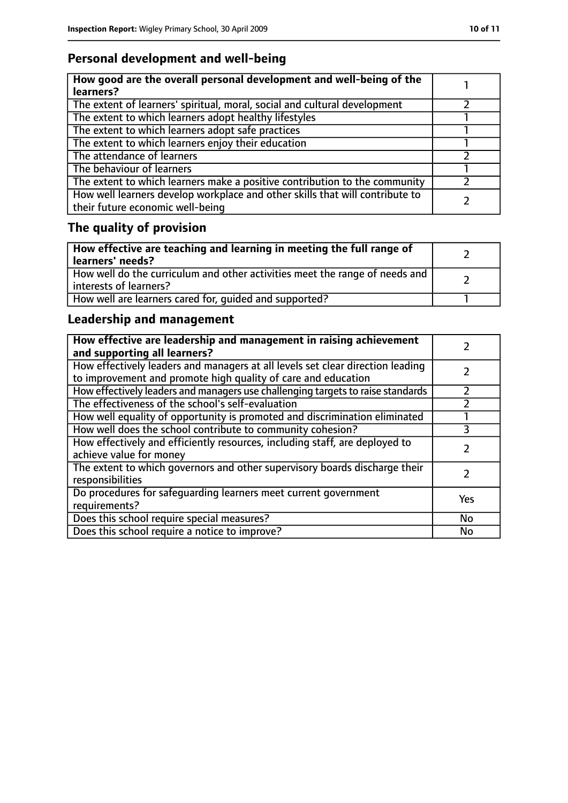## **Personal development and well-being**

| How good are the overall personal development and well-being of the<br>learners?                                 |  |
|------------------------------------------------------------------------------------------------------------------|--|
| The extent of learners' spiritual, moral, social and cultural development                                        |  |
| The extent to which learners adopt healthy lifestyles                                                            |  |
| The extent to which learners adopt safe practices                                                                |  |
| The extent to which learners enjoy their education                                                               |  |
| The attendance of learners                                                                                       |  |
| The behaviour of learners                                                                                        |  |
| The extent to which learners make a positive contribution to the community                                       |  |
| How well learners develop workplace and other skills that will contribute to<br>their future economic well-being |  |

# **The quality of provision**

| How effective are teaching and learning in meeting the full range of<br>learners' needs?              |  |
|-------------------------------------------------------------------------------------------------------|--|
| How well do the curriculum and other activities meet the range of needs and<br>interests of learners? |  |
| How well are learners cared for, quided and supported?                                                |  |

### **Leadership and management**

| How effective are leadership and management in raising achievement<br>and supporting all learners?                                              |     |
|-------------------------------------------------------------------------------------------------------------------------------------------------|-----|
| How effectively leaders and managers at all levels set clear direction leading<br>to improvement and promote high quality of care and education |     |
| How effectively leaders and managers use challenging targets to raise standards                                                                 |     |
| The effectiveness of the school's self-evaluation                                                                                               |     |
| How well equality of opportunity is promoted and discrimination eliminated                                                                      |     |
| How well does the school contribute to community cohesion?                                                                                      | 3   |
| How effectively and efficiently resources, including staff, are deployed to<br>achieve value for money                                          |     |
| The extent to which governors and other supervisory boards discharge their<br>responsibilities                                                  |     |
| Do procedures for safeguarding learners meet current government<br>requirements?                                                                | Yes |
| Does this school require special measures?                                                                                                      | No  |
| Does this school require a notice to improve?                                                                                                   | No  |